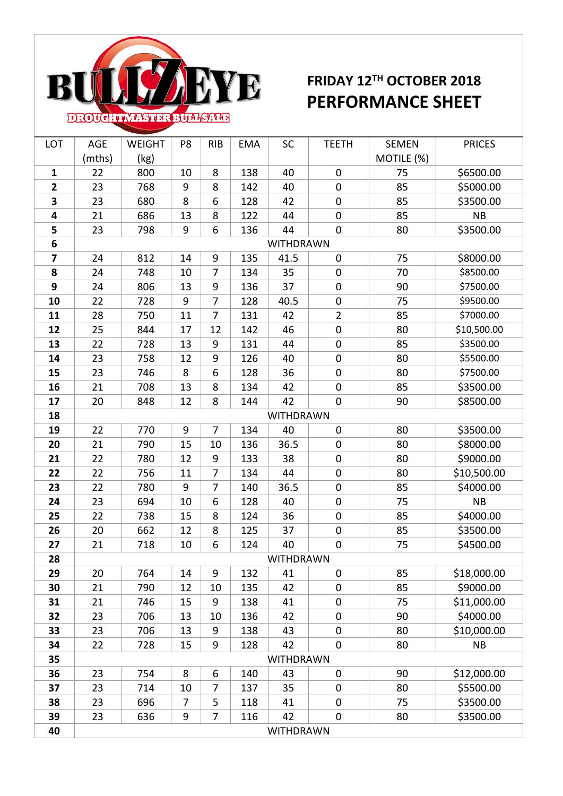

## **FRIDAY 12TH OCTOBER 2018 PERFORMANCE SHEET**

| LOT            | AGE              | <b>WEIGHT</b> | P8             | <b>RIB</b>       | <b>EMA</b> | SC        | <b>TEETH</b>     | <b>SEMEN</b> | <b>PRICES</b> |  |  |
|----------------|------------------|---------------|----------------|------------------|------------|-----------|------------------|--------------|---------------|--|--|
|                | (mths)           | (kg)          |                |                  |            |           |                  | MOTILE (%)   |               |  |  |
| $\mathbf{1}$   | 22               | 800           | 10             | 8                | 138        | 40        | $\pmb{0}$        | 75           | \$6500.00     |  |  |
| $\overline{2}$ | 23               | 768           | 9              | 8                | 142        | 40        | $\mathbf 0$      | 85           | \$5000.00     |  |  |
| 3              | 23               | 680           | 8              | 6                | 128        | 42        | $\mathbf 0$      | 85           | \$3500.00     |  |  |
| 4              | 21               | 686           | 13             | 8                | 122        | 44        | $\pmb{0}$        | 85           | <b>NB</b>     |  |  |
| 5              | 23               | 798           | 9              | 6                | 136        | 44        | $\pmb{0}$        | 80           | \$3500.00     |  |  |
| 6              | WITHDRAWN        |               |                |                  |            |           |                  |              |               |  |  |
| 7              | 24               | 812           | 14             | $\boldsymbol{9}$ | 135        | 41.5      | $\boldsymbol{0}$ | 75           | \$8000.00     |  |  |
| 8              | 24               | 748           | 10             | $\overline{7}$   | 134        | 35        | $\pmb{0}$        | 70           | \$8500.00     |  |  |
| 9              | 24               | 806           | 13             | 9                | 136        | 37        | $\boldsymbol{0}$ | 90           | \$7500.00     |  |  |
| 10             | 22               | 728           | 9              | $\overline{7}$   | 128        | 40.5      | $\boldsymbol{0}$ | 75           | \$9500.00     |  |  |
| 11             | 28               | 750           | 11             | 7                | 131        | 42        | $\mathbf{2}$     | 85           | \$7000.00     |  |  |
| 12             | 25               | 844           | 17             | 12               | 142        | 46        | $\boldsymbol{0}$ | 80           | \$10,500.00   |  |  |
| 13             | 22               | 728           | 13             | 9                | 131        | 44        | $\boldsymbol{0}$ | 85           | \$3500.00     |  |  |
| 14             | 23               | 758           | 12             | 9                | 126        | 40        | $\mathbf 0$      | 80           | \$5500.00     |  |  |
| 15             | 23               | 746           | 8              | 6                | 128        | 36        | $\boldsymbol{0}$ | 80           | \$7500.00     |  |  |
| 16             | 21               | 708           | 13             | 8                | 134        | 42        | $\mathbf 0$      | 85           | \$3500.00     |  |  |
| 17             | 20               | 848           | 12             | 8                | 144        | 42        | $\pmb{0}$        | 90           | \$8500.00     |  |  |
| 18             |                  |               |                |                  |            | WITHDRAWN |                  |              |               |  |  |
| 19             | 22               | 770           | 9              | 7                | 134        | 40        | $\pmb{0}$        | 80           | \$3500.00     |  |  |
| 20             | 21               | 790           | 15             | 10               | 136        | 36.5      | $\mathbf 0$      | 80           | \$8000.00     |  |  |
| 21             | 22               | 780           | 12             | 9                | 133        | 38        | $\pmb{0}$        | 80           | \$9000.00     |  |  |
| 22             | 22               | 756           | 11             | $\overline{7}$   | 134        | 44        | $\boldsymbol{0}$ | 80           | \$10,500.00   |  |  |
| 23             | 22               | 780           | 9              | $\overline{7}$   | 140        | 36.5      | $\pmb{0}$        | 85           | \$4000.00     |  |  |
| 24             | 23               | 694           | 10             | 6                | 128        | 40        | $\pmb{0}$        | 75           | <b>NB</b>     |  |  |
| 25             | 22               | 738           | 15             | 8                | 124        | 36        | $\pmb{0}$        | 85           | \$4000.00     |  |  |
| 26             | 20               | 662           | 12             | 8                | 125        | 37        | $\boldsymbol{0}$ | 85           | \$3500.00     |  |  |
| 27             | 21               | 718           | 10             | 6                | 124        | 40        | $\boldsymbol{0}$ | 75           | \$4500.00     |  |  |
| 28             |                  |               |                |                  |            | WITHDRAWN |                  |              |               |  |  |
| 29             | 20               | 764           | 14             | 9                | 132        | 41        | $\mathbf 0$      | 85           | \$18,000.00   |  |  |
| 30             | 21               | 790           | 12             | 10               | 135        | 42        | $\mathbf 0$      | 85           | \$9000.00     |  |  |
| 31             | 21               | 746           | 15             | 9                | 138        | 41        | $\mathbf 0$      | 75           | \$11,000.00   |  |  |
| 32             | 23               | 706           | 13             | 10               | 136        | 42        | $\boldsymbol{0}$ | 90           | \$4000.00     |  |  |
| 33             | 23               | 706           | 13             | 9                | 138        | 43        | $\mathbf 0$      | 80           | \$10,000.00   |  |  |
| 34             | 22               | 728           | 15             | 9                | 128        | 42        | $\pmb{0}$        | 80           | <b>NB</b>     |  |  |
| 35             |                  | WITHDRAWN     |                |                  |            |           |                  |              |               |  |  |
| 36             | 23               | 754           | 8              | 6                | 140        | 43        | $\pmb{0}$        | 90           | \$12,000.00   |  |  |
| 37             | 23               | 714           | 10             | 7                | 137        | 35        | 0                | 80           | \$5500.00     |  |  |
| 38             | 23               | 696           | $\overline{7}$ | 5                | 118        | 41        | 0                | 75           | \$3500.00     |  |  |
| 39             | 23               | 636           | 9              | 7                | 116        | 42        | $\pmb{0}$        | 80           | \$3500.00     |  |  |
| 40             | <b>WITHDRAWN</b> |               |                |                  |            |           |                  |              |               |  |  |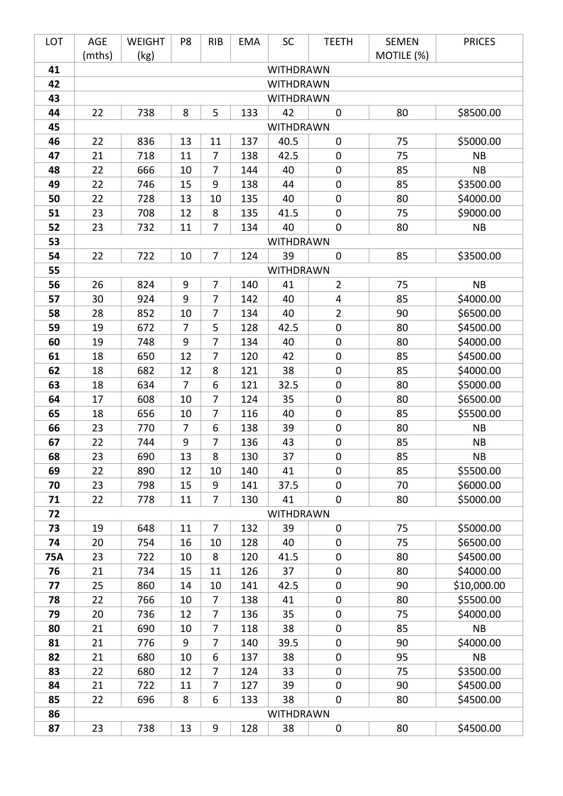| LOT       | <b>AGE</b>                           | <b>WEIGHT</b> | P8             | <b>RIB</b>     | <b>EMA</b> | <b>SC</b>        | <b>TEETH</b>                    | <b>SEMEN</b> | <b>PRICES</b>          |  |  |
|-----------|--------------------------------------|---------------|----------------|----------------|------------|------------------|---------------------------------|--------------|------------------------|--|--|
| 41        | (mths)<br>MOTILE (%)<br>(kg)         |               |                |                |            |                  |                                 |              |                        |  |  |
| 42        | <b>WITHDRAWN</b>                     |               |                |                |            |                  |                                 |              |                        |  |  |
| 43        | <b>WITHDRAWN</b><br><b>WITHDRAWN</b> |               |                |                |            |                  |                                 |              |                        |  |  |
| 44        | 22                                   | 738           | 8              | 5              | 133        | 42               | $\mathbf 0$                     | 80           | \$8500.00              |  |  |
| 45        |                                      |               |                |                |            | <b>WITHDRAWN</b> |                                 |              |                        |  |  |
| 46        | 22                                   | 836           | 13             | 11             | 137        | 40.5             | $\mathbf 0$                     | 75           | \$5000.00              |  |  |
| 47        | 21                                   | 718           | 11             | 7              | 138        | 42.5             | $\mathbf 0$                     | 75           | <b>NB</b>              |  |  |
| 48        | 22                                   | 666           | 10             | 7              | 144        | 40               | $\boldsymbol{0}$                | 85           | <b>NB</b>              |  |  |
| 49        | 22                                   | 746           | 15             | 9              | 138        | 44               | $\mathbf 0$                     | 85           | \$3500.00              |  |  |
| 50        | 22                                   | 728           | 13             | 10             | 135        | 40               | $\boldsymbol{0}$                | 80           | \$4000.00              |  |  |
| 51        | 23                                   | 708           | 12             | 8              | 135        | 41.5             | $\mathbf 0$                     | 75           | \$9000.00              |  |  |
| 52        | 23                                   | 732           | 11             | 7              | 134        | 40               | $\mathbf 0$                     | 80           | <b>NB</b>              |  |  |
| 53        |                                      |               |                |                |            | <b>WITHDRAWN</b> |                                 |              |                        |  |  |
| 54        | 22                                   | 722           | 10             | $\overline{7}$ | 124        | 39               | $\mathbf 0$                     | 85           | \$3500.00              |  |  |
| 55        |                                      |               |                |                |            | <b>WITHDRAWN</b> |                                 |              |                        |  |  |
| 56        | 26                                   | 824           | $9\,$          | 7              | 140        | 41               | $\overline{2}$                  | 75           | <b>NB</b>              |  |  |
| 57        | 30                                   | 924           | 9              | $\overline{7}$ | 142        | 40               | $\overline{4}$                  | 85           | \$4000.00              |  |  |
| 58        | 28                                   | 852           | 10             | 7              | 134        | 40               | $\overline{2}$                  | 90           | \$6500.00              |  |  |
| 59        | 19                                   | 672           | $\overline{7}$ | 5              | 128        | 42.5             | $\boldsymbol{0}$                | 80           | \$4500.00              |  |  |
| 60        | 19                                   | 748           | 9              | 7              | 134        | 40               | $\boldsymbol{0}$                | 80           | \$4000.00              |  |  |
| 61        | 18                                   | 650           | 12             | $\overline{7}$ | 120        | 42               | $\boldsymbol{0}$                | 85           | \$4500.00              |  |  |
| 62        | 18                                   | 682           | 12             | 8              | 121        | 38               | $\boldsymbol{0}$                | 85           | \$4000.00              |  |  |
| 63        | 18                                   | 634           | $\overline{7}$ | 6              | 121        | 32.5             | $\boldsymbol{0}$                | 80           | \$5000.00              |  |  |
| 64        | 17                                   | 608           | 10             | 7              | 124        | 35               | $\boldsymbol{0}$                | 80           | \$6500.00              |  |  |
| 65        | 18                                   | 656           | 10             | 7              | 116        | 40               | $\boldsymbol{0}$                | 85           | \$5500.00              |  |  |
| 66        | 23                                   | 770           | $\overline{7}$ | 6              | 138        | 39               | $\mathbf 0$                     | 80           | <b>NB</b>              |  |  |
| 67        | 22                                   | 744           | 9              | 7              | 136        | 43               | $\boldsymbol{0}$                | 85           | <b>NB</b>              |  |  |
| 68        | 23                                   | 690           | 13             | 8              | 130        | 37               | $\Omega$                        | 85           | <b>NB</b>              |  |  |
| 69        | 22                                   | 890           | 12             | 10             | 140        | 41               | $\mathbf 0$                     | 85           | \$5500.00              |  |  |
| 70        | 23                                   | 798           | 15             | 9              | 141        | 37.5             | $\mathbf 0$                     | 70           | \$6000.00              |  |  |
| 71        | 22                                   | 778           | 11             | 7              | 130        | 41               | $\mathbf 0$                     | 80           | \$5000.00              |  |  |
| 72        |                                      |               |                |                |            | WITHDRAWN        |                                 |              |                        |  |  |
| 73        | 19                                   | 648           | 11             | $\overline{7}$ | 132        | 39               | $\mathbf 0$                     | 75           | \$5000.00              |  |  |
| 74        | 20                                   | 754           | 16             | 10             | 128        | 40               | $\mathbf 0$                     | 75           | \$6500.00              |  |  |
| 75A<br>76 | 23                                   | 722<br>734    | 10             | 8              | 120<br>126 | 41.5             | $\mathbf 0$                     | 80           | \$4500.00<br>\$4000.00 |  |  |
| 77        | 21<br>25                             | 860           | 15<br>14       | 11<br>10       | 141        | 37<br>42.5       | $\mathbf 0$<br>$\boldsymbol{0}$ | 80<br>90     | \$10,000.00            |  |  |
| 78        | 22                                   | 766           | 10             | 7              | 138        | 41               | $\mathbf 0$                     | 80           | \$5500.00              |  |  |
| 79        | 20                                   | 736           | 12             | 7              | 136        | 35               | $\boldsymbol{0}$                | 75           | \$4000.00              |  |  |
| 80        | 21                                   | 690           | 10             | 7              | 118        | 38               | $\mathbf 0$                     | 85           | NB                     |  |  |
| 81        | 21                                   | 776           | 9              | 7              | 140        | 39.5             | $\boldsymbol{0}$                | 90           | \$4000.00              |  |  |
| 82        | 21                                   | 680           | 10             | 6              | 137        | 38               | $\mathbf 0$                     | 95           | <b>NB</b>              |  |  |
| 83        | 22                                   | 680           | 12             | 7              | 124        | 33               | $\mathbf 0$                     | 75           | \$3500.00              |  |  |
| 84        | 21                                   | 722           | 11             | 7              | 127        | 39               | $\mathbf 0$                     | 90           | \$4500.00              |  |  |
| 85        | 22                                   | 696           | 8              | 6              | 133        | 38               | $\mathbf 0$                     | 80           | \$4500.00              |  |  |
| 86        |                                      |               |                |                |            | WITHDRAWN        |                                 |              |                        |  |  |
| 87        | 23                                   | 738           | 13             | 9              | 128        | 38               | $\pmb{0}$                       | 80           | \$4500.00              |  |  |